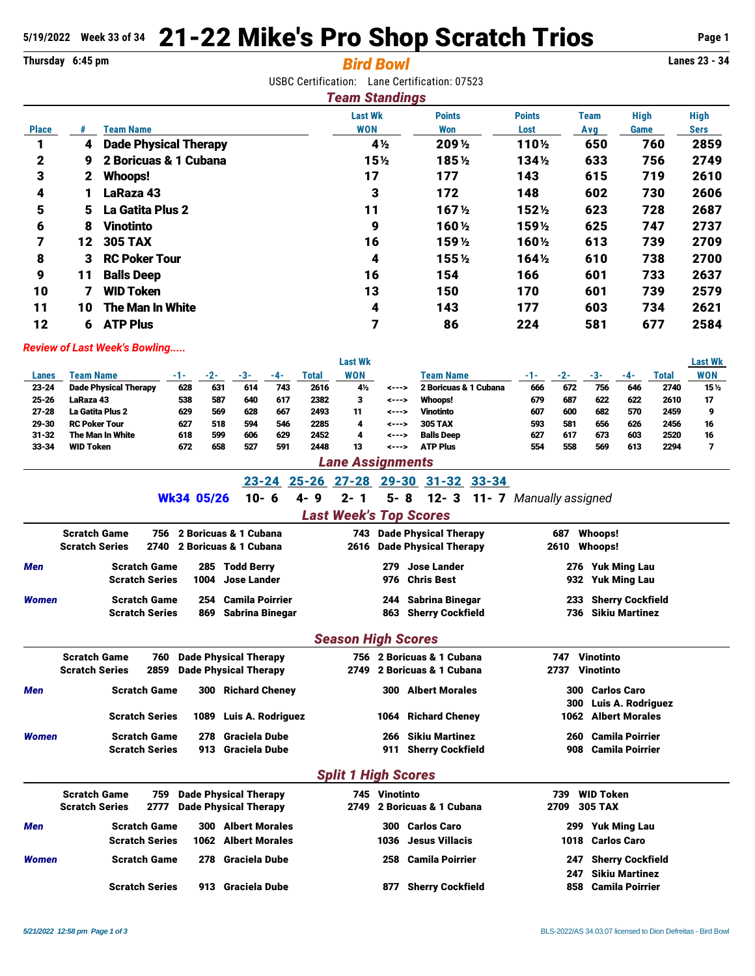# **5/19/2022 Week 33 of 34** 21-22 Mike's Pro Shop Scratch Trios **Page 1**

# **Thursday 6:45 pm** *Bird Bowl* **Lanes 23 - 34**

USBC Certification: Lane Certification: 07523

| <b>Team Standings</b> |              |                              |                              |                      |                       |             |                     |                     |  |  |  |
|-----------------------|--------------|------------------------------|------------------------------|----------------------|-----------------------|-------------|---------------------|---------------------|--|--|--|
| <b>Place</b>          |              | <b>Team Name</b>             | <b>Last Wk</b><br><b>WON</b> | <b>Points</b><br>Won | <b>Points</b><br>Lost | Team<br>Avg | <b>High</b><br>Game | <b>High</b><br>Sers |  |  |  |
|                       | 4            | <b>Dade Physical Therapy</b> | 4½                           | 209 1/2              | 110½                  | 650         | 760                 | 2859                |  |  |  |
| $\mathbf{2}$          | 9            | 2 Boricuas & 1 Cubana        | 15 <sub>2</sub>              | 185 1/2              | 134 <sub>2</sub>      | 633         | 756                 | 2749                |  |  |  |
| 3                     | $\mathbf{2}$ | Whoops!                      | 17                           | 177                  | 143                   | 615         | 719                 | 2610                |  |  |  |
| 4                     |              | LaRaza 43                    | 3                            | 172                  | 148                   | 602         | 730                 | 2606                |  |  |  |
| 5                     | 5.           | <b>La Gatita Plus 2</b>      | 11                           | 167 <sub>2</sub>     | 1521/2                | 623         | 728                 | 2687                |  |  |  |
| 6                     | 8            | <b>Vinotinto</b>             | 9                            | 160 ½                | 1591/2                | 625         | 747                 | 2737                |  |  |  |
| 7                     | 12           | <b>305 TAX</b>               | 16                           | 159 ½                | 160½                  | 613         | 739                 | 2709                |  |  |  |
| 8                     | 3.           | <b>RC Poker Tour</b>         | 4                            | 155 1/2              | $164\%$               | 610         | 738                 | 2700                |  |  |  |
| 9                     | 11           | <b>Balls Deep</b>            | 16                           | 154                  | 166                   | 601         | 733                 | 2637                |  |  |  |
| 10                    | 7            | <b>WID Token</b>             | 13                           | 150                  | 170                   | 601         | 739                 | 2579                |  |  |  |
| 11                    | 10           | <b>The Man In White</b>      | 4                            | 143                  | 177                   | 603         | 734                 | 2621                |  |  |  |
| 12                    | 6            | <b>ATP Plus</b>              | 7                            | 86                   | 224                   | 581         | 677                 | 2584                |  |  |  |

## *Review of Last Week's Bowling.....*

|           |                              |     |     |     |     |       | <b>Last Wk</b> |        |                       |       |     |     |     |       | Last Wk         |
|-----------|------------------------------|-----|-----|-----|-----|-------|----------------|--------|-----------------------|-------|-----|-----|-----|-------|-----------------|
| Lanes     | Team Name                    |     |     |     | -4- | Total | WON            |        | Team Name             | - 1 - |     | . . | -4- | Total | <b>WON</b>      |
| $23 - 24$ | <b>Dade Physical Therapy</b> | 628 | 631 | 614 | 743 | 2616  | 4½             | ---->  | 2 Boricuas & 1 Cubana | 666   | 672 | 756 | 646 | 2740  | 15 <sub>2</sub> |
| $25 - 26$ | LaRaza 43                    | 538 | 587 | 640 | 617 | 2382  |                | <--->  | Whoops!               | 679   | 687 | 622 | 622 | 2610  | 17              |
| $27 - 28$ | <b>La Gatita Plus 2</b>      | 629 | 569 | 628 | 667 | 2493  | 11             | ---->  | <b>Vinotinto</b>      | 607   | 600 | 682 | 570 | 2459  | o               |
| 29-30     | <b>RC Poker Tour</b>         | 627 | 518 | 594 | 546 | 2285  |                | ---->  | <b>305 TAX</b>        | 593   | 581 | 656 | 626 | 2456  | 16              |
| $31 - 32$ | The Man In White             | 618 | 599 | 606 | 629 | 2452  | 4              | <--->  | <b>Balls Deep</b>     | 627   | 617 | 673 | 603 | 2520  | 16              |
| 33-34     | <b>WID Token</b>             | 672 | 658 | 527 | 591 | 2448  | 13             | ---->  | <b>ATP Plus</b>       | 554   | 558 | 569 | 613 | 2294  |                 |
|           |                              |     |     |     |     | __    |                | $\sim$ |                       |       |     |     |     |       |                 |

#### *Lane Assignments*

# 23-24 25-26 27-28 29-30 31-32 33-34

#### Wk34 05/26 10- 6 4- 9 2- 1 5- 8 12- 3 11- 7 *Manually assigned*

## *Last Week's Top Scores*

|              | <b>Scratch Game</b><br><b>Scratch Series</b> | 756 2 Boricuas & 1 Cubana<br>2740 2 Boricuas & 1 Cubana |     | 743 Dade Physical Therapy<br>2616 Dade Physical Therapy | 687 | Whoops!<br>2610 Whoops!                    |  |
|--------------|----------------------------------------------|---------------------------------------------------------|-----|---------------------------------------------------------|-----|--------------------------------------------|--|
| Men          | <b>Scratch Game</b><br><b>Scratch Series</b> | 285 Todd Berry<br>1004 Jose Lander                      | 279 | Jose Lander<br>976 Chris Best                           | 276 | <b>Yuk Ming Lau</b><br>932 Yuk Ming Lau    |  |
| <b>Women</b> | <b>Scratch Game</b><br><b>Scratch Series</b> | 254 Camila Poirrier<br>869 Sabrina Binegar              | 244 | Sabrina Binegar<br>863 Sherry Cockfield                 |     | 233 Sherry Cockfield<br>736 Sikiu Martinez |  |

#### *Season High Scores*

|              | <b>Scratch Game</b>           | <b>760 Dade Physical Therapy</b> |  | 756 2 Boricuas & 1 Cubana    | Vinotinto<br>747              |  |  |  |  |  |  |  |
|--------------|-------------------------------|----------------------------------|--|------------------------------|-------------------------------|--|--|--|--|--|--|--|
|              | <b>Scratch Series</b><br>2859 | <b>Dade Physical Therapy</b>     |  | 2749 2 Boricuas & 1 Cubana   | Vinotinto<br>2737             |  |  |  |  |  |  |  |
| <b>Men</b>   | <b>Scratch Game</b>           | 300 Richard Cheney               |  | <b>Albert Morales</b><br>300 | <b>Carlos Caro</b><br>300     |  |  |  |  |  |  |  |
|              |                               |                                  |  |                              | Luis A. Rodriguez<br>300 l    |  |  |  |  |  |  |  |
|              | <b>Scratch Series</b>         | 1089 Luis A. Rodriguez           |  | 1064 Richard Cheney          | 1062 Albert Morales           |  |  |  |  |  |  |  |
| <b>Women</b> | <b>Scratch Game</b>           | <b>Graciela Dube</b><br>278      |  | Sikiu Martinez<br>266        | <b>Camila Poirrier</b><br>260 |  |  |  |  |  |  |  |
|              | <b>Scratch Series</b>         | 913 Graciela Dube                |  | 911 Sherry Cockfield         | Camila Poirrier<br>908        |  |  |  |  |  |  |  |
|              |                               |                                  |  |                              |                               |  |  |  |  |  |  |  |

#### *Split 1 High Scores*

|              | <b>Scratch Game</b><br><b>Scratch Series</b> |     | 759 Dade Physical Therapy<br>2777 Dade Physical Therapy | 745 Vinotinto | 2749 2 Boricuas & 1 Cubana             | 739<br>2709 | WID Token<br>305 TAX                          |
|--------------|----------------------------------------------|-----|---------------------------------------------------------|---------------|----------------------------------------|-------------|-----------------------------------------------|
| <b>Men</b>   | <b>Scratch Game</b><br><b>Scratch Series</b> | 300 | Albert Morales<br>1062 Albert Morales                   |               | 300 Carlos Caro<br>1036 Jesus Villacis |             | 299 Yuk Ming Lau<br>1018 Carlos Caro          |
| <b>Women</b> | <b>Scratch Game</b>                          | 278 | Graciela Dube                                           |               | 258 Camila Poirrier                    | 247         | 247 Sherry Cockfield<br><b>Sikiu Martinez</b> |
|              | <b>Scratch Series</b>                        |     | 913 Graciela Dube                                       | 877           | <b>Sherry Cockfield</b>                |             | 858 Camila Poirrier                           |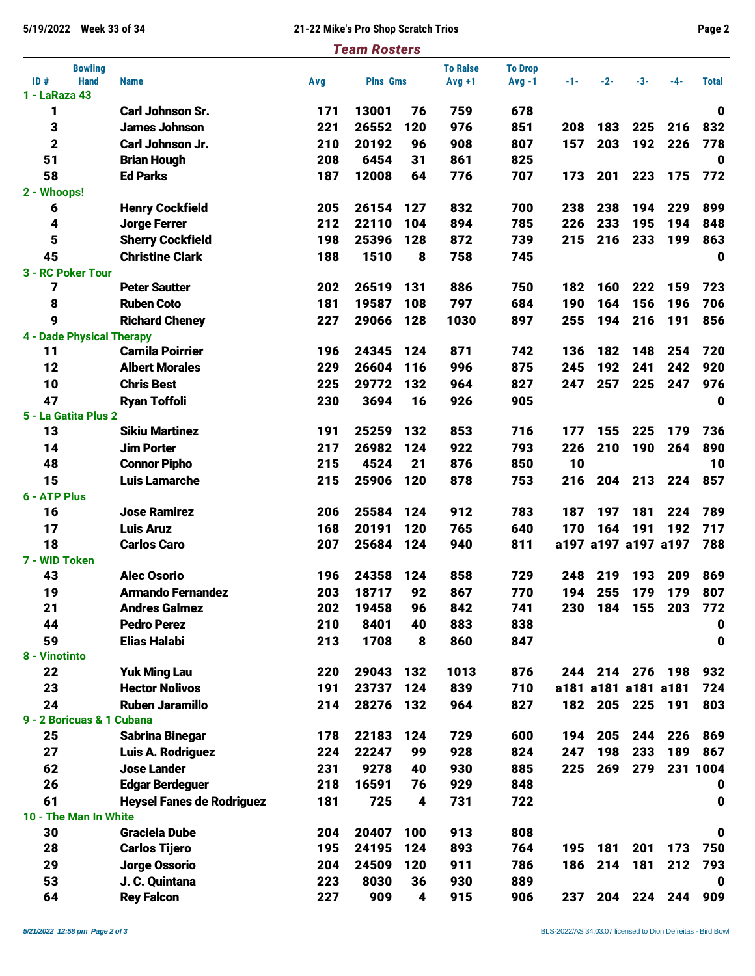**5/19/2022 Week 33 of 34 21-22 Mike's Pro Shop Scratch Trios Page 2**

|                                      |                                  |     | <b>Team Rosters</b> |                  |                             |                            |     |                            |       |     |              |
|--------------------------------------|----------------------------------|-----|---------------------|------------------|-----------------------------|----------------------------|-----|----------------------------|-------|-----|--------------|
| <b>Bowling</b><br>ID#<br><b>Hand</b> | <b>Name</b>                      | Avg | <b>Pins Gms</b>     |                  | <b>To Raise</b><br>$Avg +1$ | <b>To Drop</b><br>$Avg -1$ | -1- | $-2-$                      | $-3-$ | -4- | <b>Total</b> |
| 1 - LaRaza 43                        |                                  |     |                     |                  |                             |                            |     |                            |       |     |              |
| 1                                    | <b>Carl Johnson Sr.</b>          | 171 | 13001               | 76               | 759                         | 678                        |     |                            |       |     | $\bf{0}$     |
| 3                                    | <b>James Johnson</b>             | 221 | 26552               | 120              | 976                         | 851                        | 208 | 183                        | 225   | 216 | 832          |
| $\mathbf 2$                          | Carl Johnson Jr.                 | 210 | 20192               | 96               | 908                         | 807                        | 157 | 203                        | 192   | 226 | 778          |
| 51                                   | <b>Brian Hough</b>               | 208 | 6454                | 31               | 861                         | 825                        |     |                            |       |     | 0            |
| 58                                   | <b>Ed Parks</b>                  | 187 | 12008               | 64               | 776                         | 707                        | 173 | 201                        | 223   | 175 | 772          |
| 2 - Whoops!                          |                                  |     |                     |                  |                             |                            |     |                            |       |     |              |
| 6                                    | <b>Henry Cockfield</b>           | 205 | 26154               | 127              | 832                         | 700                        | 238 | 238                        | 194   | 229 | 899          |
| 4                                    | <b>Jorge Ferrer</b>              | 212 | 22110               | 104              | 894                         | 785                        | 226 | 233                        | 195   | 194 | 848          |
| 5                                    | <b>Sherry Cockfield</b>          | 198 | 25396               | 128              | 872                         | 739                        | 215 | 216                        | 233   | 199 | 863          |
| 45                                   | <b>Christine Clark</b>           | 188 | 1510                | 8                | 758                         | 745                        |     |                            |       |     | 0            |
| 3 - RC Poker Tour                    |                                  |     |                     |                  |                             |                            |     |                            |       |     |              |
| 7                                    | <b>Peter Sautter</b>             | 202 | 26519               | 131              | 886                         | 750                        | 182 | 160                        | 222   | 159 | 723          |
| 8                                    | <b>Ruben Coto</b>                | 181 | 19587               | 108              | 797                         | 684                        | 190 | 164                        | 156   | 196 | 706          |
| 9                                    | <b>Richard Cheney</b>            | 227 | 29066               | 128              | 1030                        | 897                        | 255 | 194                        | 216   | 191 | 856          |
| <b>4 - Dade Physical Therapy</b>     |                                  |     |                     |                  |                             |                            |     |                            |       |     |              |
| 11                                   | <b>Camila Poirrier</b>           | 196 | 24345               | 124              | 871                         | 742                        | 136 | 182                        | 148   | 254 | 720          |
| 12                                   | <b>Albert Morales</b>            | 229 | 26604               | 116              | 996                         | 875                        | 245 | 192                        | 241   | 242 | 920          |
| 10                                   | <b>Chris Best</b>                | 225 | 29772               | 132              | 964                         | 827                        | 247 | 257                        | 225   | 247 | 976          |
| 47                                   | <b>Ryan Toffoli</b>              | 230 | 3694                | 16               | 926                         | 905                        |     |                            |       |     | 0            |
| 5 - La Gatita Plus 2                 |                                  |     |                     |                  |                             |                            |     |                            |       |     |              |
| 13                                   | <b>Sikiu Martinez</b>            | 191 | 25259               | 132              | 853                         | 716                        | 177 | 155                        | 225   | 179 | 736          |
| 14                                   | <b>Jim Porter</b>                | 217 | 26982               | 124              | 922                         | 793                        | 226 | 210                        | 190   | 264 | 890          |
| 48                                   | <b>Connor Pipho</b>              | 215 | 4524                | 21               | 876                         | 850                        | 10  |                            |       |     | 10           |
| 15                                   | <b>Luis Lamarche</b>             | 215 | 25906               | 120              | 878                         | 753                        | 216 | 204                        | 213   | 224 | 857          |
| 6 - ATP Plus                         |                                  |     |                     |                  |                             |                            |     |                            |       |     |              |
| 16                                   | <b>Jose Ramirez</b>              | 206 | 25584               | 124              | 912                         | 783                        | 187 | 197                        | 181   | 224 | 789          |
| 17<br>18                             | <b>Luis Aruz</b>                 | 168 | 20191               | 120              | 765                         | 640                        | 170 | 164<br>a197 a197 a197 a197 | 191   | 192 | 717<br>788   |
| 7 - WID Token                        | <b>Carlos Caro</b>               | 207 | 25684               | 124              | 940                         | 811                        |     |                            |       |     |              |
| 43                                   | <b>Alec Osorio</b>               | 196 | 24358               | 124              | 858                         | 729                        | 248 | 219                        | 193   | 209 | 869          |
| 19                                   | <b>Armando Fernandez</b>         | 203 | 18717               | 92               | 867                         | 770                        | 194 | 255                        | 179   | 179 | 807          |
| 21                                   | <b>Andres Galmez</b>             | 202 | 19458               | 96               | 842                         | 741                        | 230 | 184                        | 155   | 203 | 772          |
| 44                                   | <b>Pedro Perez</b>               | 210 | 8401                | 40               | 883                         | 838                        |     |                            |       |     | 0            |
| 59                                   | <b>Elias Halabi</b>              | 213 | 1708                | 8                | 860                         | 847                        |     |                            |       |     | 0            |
| 8 - Vinotinto                        |                                  |     |                     |                  |                             |                            |     |                            |       |     |              |
| 22                                   | <b>Yuk Ming Lau</b>              | 220 | 29043               | 132              | 1013                        | 876                        |     | 244 214 276                |       | 198 | 932          |
| 23                                   | <b>Hector Nolivos</b>            | 191 | 23737               | 124              | 839                         | 710                        |     | a181 a181 a181 a181        |       |     | 724          |
| 24                                   | <b>Ruben Jaramillo</b>           | 214 | 28276               | 132              | 964                         | 827                        |     | 182 205                    | 225   | 191 | 803          |
| 9 - 2 Boricuas & 1 Cubana            |                                  |     |                     |                  |                             |                            |     |                            |       |     |              |
| 25                                   | <b>Sabrina Binegar</b>           | 178 | 22183               | 124              | 729                         | 600                        | 194 | 205                        | 244   | 226 | 869          |
| 27                                   | Luis A. Rodriguez                | 224 | 22247               | 99               | 928                         | 824                        | 247 | 198                        | 233   | 189 | 867          |
| 62                                   | <b>Jose Lander</b>               | 231 | 9278                | 40               | 930                         | 885                        | 225 | 269                        | 279   |     | 231 1004     |
| 26                                   | <b>Edgar Berdeguer</b>           | 218 | 16591               | 76               | 929                         | 848                        |     |                            |       |     | 0            |
| 61                                   | <b>Heysel Fanes de Rodriguez</b> | 181 | 725                 | 4                | 731                         | 722                        |     |                            |       |     | 0            |
| 10 - The Man In White                |                                  |     |                     |                  |                             |                            |     |                            |       |     |              |
| 30                                   | <b>Graciela Dube</b>             | 204 | 20407               | 100              | 913                         | 808                        |     |                            |       |     | 0            |
| 28                                   | <b>Carlos Tijero</b>             | 195 | 24195               | 124              | 893                         | 764                        | 195 | 181                        | 201   | 173 | 750          |
| 29                                   | <b>Jorge Ossorio</b>             | 204 | 24509               | 120              | 911                         | 786                        | 186 | 214                        | 181   | 212 | 793          |
| 53                                   | J. C. Quintana                   | 223 | 8030                | 36               | 930                         | 889                        |     |                            |       |     | 0            |
| 64                                   | <b>Rey Falcon</b>                | 227 | 909                 | $\boldsymbol{4}$ | 915                         | 906                        | 237 | 204                        | 224   | 244 | 909          |
|                                      |                                  |     |                     |                  |                             |                            |     |                            |       |     |              |